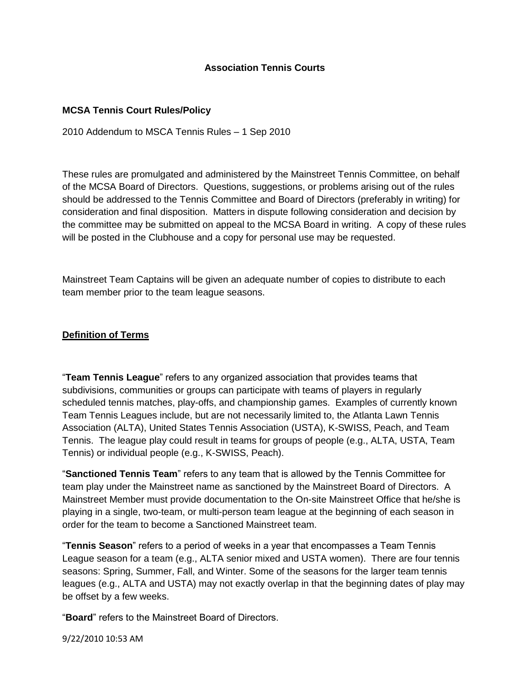### **Association Tennis Courts**

### **MCSA Tennis Court Rules/Policy**

2010 Addendum to MSCA Tennis Rules – 1 Sep 2010

These rules are promulgated and administered by the Mainstreet Tennis Committee, on behalf of the MCSA Board of Directors. Questions, suggestions, or problems arising out of the rules should be addressed to the Tennis Committee and Board of Directors (preferably in writing) for consideration and final disposition. Matters in dispute following consideration and decision by the committee may be submitted on appeal to the MCSA Board in writing. A copy of these rules will be posted in the Clubhouse and a copy for personal use may be requested.

Mainstreet Team Captains will be given an adequate number of copies to distribute to each team member prior to the team league seasons.

# **Definition of Terms**

"**Team Tennis League**" refers to any organized association that provides teams that subdivisions, communities or groups can participate with teams of players in regularly scheduled tennis matches, play-offs, and championship games. Examples of currently known Team Tennis Leagues include, but are not necessarily limited to, the Atlanta Lawn Tennis Association (ALTA), United States Tennis Association (USTA), K-SWISS, Peach, and Team Tennis. The league play could result in teams for groups of people (e.g., ALTA, USTA, Team Tennis) or individual people (e.g., K-SWISS, Peach).

"**Sanctioned Tennis Team**" refers to any team that is allowed by the Tennis Committee for team play under the Mainstreet name as sanctioned by the Mainstreet Board of Directors. A Mainstreet Member must provide documentation to the On-site Mainstreet Office that he/she is playing in a single, two-team, or multi-person team league at the beginning of each season in order for the team to become a Sanctioned Mainstreet team.

"**Tennis Season**" refers to a period of weeks in a year that encompasses a Team Tennis League season for a team (e.g., ALTA senior mixed and USTA women). There are four tennis seasons: Spring, Summer, Fall, and Winter. Some of the seasons for the larger team tennis leagues (e.g., ALTA and USTA) may not exactly overlap in that the beginning dates of play may be offset by a few weeks.

"**Board**" refers to the Mainstreet Board of Directors.

9/22/2010 10:53 AM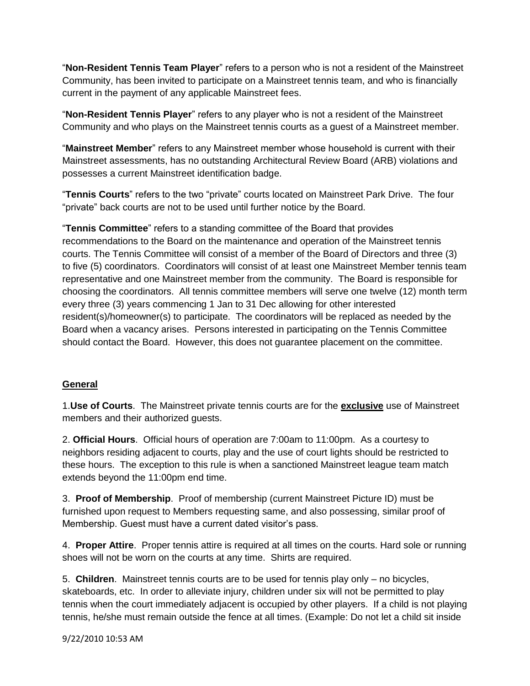"**Non-Resident Tennis Team Player**" refers to a person who is not a resident of the Mainstreet Community, has been invited to participate on a Mainstreet tennis team, and who is financially current in the payment of any applicable Mainstreet fees.

"**Non-Resident Tennis Player**" refers to any player who is not a resident of the Mainstreet Community and who plays on the Mainstreet tennis courts as a guest of a Mainstreet member.

"**Mainstreet Member**" refers to any Mainstreet member whose household is current with their Mainstreet assessments, has no outstanding Architectural Review Board (ARB) violations and possesses a current Mainstreet identification badge.

"**Tennis Courts**" refers to the two "private" courts located on Mainstreet Park Drive. The four "private" back courts are not to be used until further notice by the Board.

"**Tennis Committee**" refers to a standing committee of the Board that provides recommendations to the Board on the maintenance and operation of the Mainstreet tennis courts. The Tennis Committee will consist of a member of the Board of Directors and three (3) to five (5) coordinators. Coordinators will consist of at least one Mainstreet Member tennis team representative and one Mainstreet member from the community. The Board is responsible for choosing the coordinators. All tennis committee members will serve one twelve (12) month term every three (3) years commencing 1 Jan to 31 Dec allowing for other interested resident(s)/homeowner(s) to participate. The coordinators will be replaced as needed by the Board when a vacancy arises. Persons interested in participating on the Tennis Committee should contact the Board. However, this does not guarantee placement on the committee.

# **General**

1.**Use of Courts**. The Mainstreet private tennis courts are for the **exclusive** use of Mainstreet members and their authorized guests.

2. **Official Hours**. Official hours of operation are 7:00am to 11:00pm. As a courtesy to neighbors residing adjacent to courts, play and the use of court lights should be restricted to these hours. The exception to this rule is when a sanctioned Mainstreet league team match extends beyond the 11:00pm end time.

3. **Proof of Membership**. Proof of membership (current Mainstreet Picture ID) must be furnished upon request to Members requesting same, and also possessing, similar proof of Membership. Guest must have a current dated visitor's pass.

4. **Proper Attire**. Proper tennis attire is required at all times on the courts. Hard sole or running shoes will not be worn on the courts at any time. Shirts are required.

5. **Children**. Mainstreet tennis courts are to be used for tennis play only – no bicycles, skateboards, etc. In order to alleviate injury, children under six will not be permitted to play tennis when the court immediately adjacent is occupied by other players. If a child is not playing tennis, he/she must remain outside the fence at all times. (Example: Do not let a child sit inside

9/22/2010 10:53 AM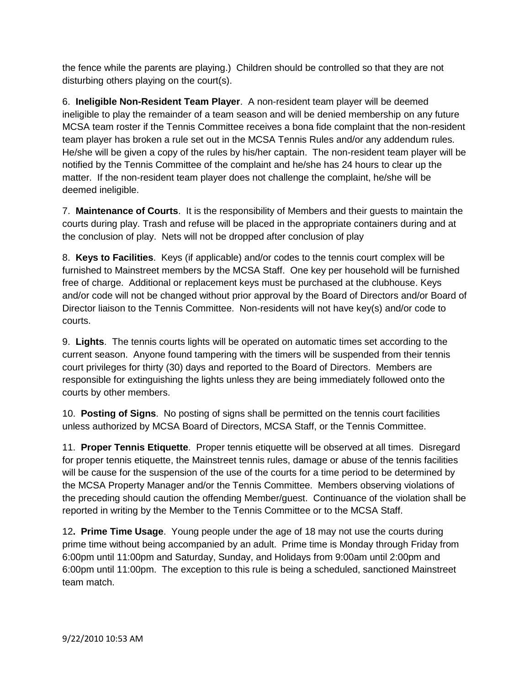the fence while the parents are playing.) Children should be controlled so that they are not disturbing others playing on the court(s).

6. **Ineligible Non-Resident Team Player**. A non-resident team player will be deemed ineligible to play the remainder of a team season and will be denied membership on any future MCSA team roster if the Tennis Committee receives a bona fide complaint that the non-resident team player has broken a rule set out in the MCSA Tennis Rules and/or any addendum rules. He/she will be given a copy of the rules by his/her captain. The non-resident team player will be notified by the Tennis Committee of the complaint and he/she has 24 hours to clear up the matter. If the non-resident team player does not challenge the complaint, he/she will be deemed ineligible.

7. **Maintenance of Courts**. It is the responsibility of Members and their guests to maintain the courts during play. Trash and refuse will be placed in the appropriate containers during and at the conclusion of play. Nets will not be dropped after conclusion of play

8. **Keys to Facilities**. Keys (if applicable) and/or codes to the tennis court complex will be furnished to Mainstreet members by the MCSA Staff. One key per household will be furnished free of charge. Additional or replacement keys must be purchased at the clubhouse. Keys and/or code will not be changed without prior approval by the Board of Directors and/or Board of Director liaison to the Tennis Committee. Non-residents will not have key(s) and/or code to courts.

9. **Lights**. The tennis courts lights will be operated on automatic times set according to the current season. Anyone found tampering with the timers will be suspended from their tennis court privileges for thirty (30) days and reported to the Board of Directors. Members are responsible for extinguishing the lights unless they are being immediately followed onto the courts by other members.

10. **Posting of Signs**. No posting of signs shall be permitted on the tennis court facilities unless authorized by MCSA Board of Directors, MCSA Staff, or the Tennis Committee.

11. **Proper Tennis Etiquette**. Proper tennis etiquette will be observed at all times. Disregard for proper tennis etiquette, the Mainstreet tennis rules, damage or abuse of the tennis facilities will be cause for the suspension of the use of the courts for a time period to be determined by the MCSA Property Manager and/or the Tennis Committee. Members observing violations of the preceding should caution the offending Member/guest. Continuance of the violation shall be reported in writing by the Member to the Tennis Committee or to the MCSA Staff.

12**. Prime Time Usage**. Young people under the age of 18 may not use the courts during prime time without being accompanied by an adult. Prime time is Monday through Friday from 6:00pm until 11:00pm and Saturday, Sunday, and Holidays from 9:00am until 2:00pm and 6:00pm until 11:00pm. The exception to this rule is being a scheduled, sanctioned Mainstreet team match.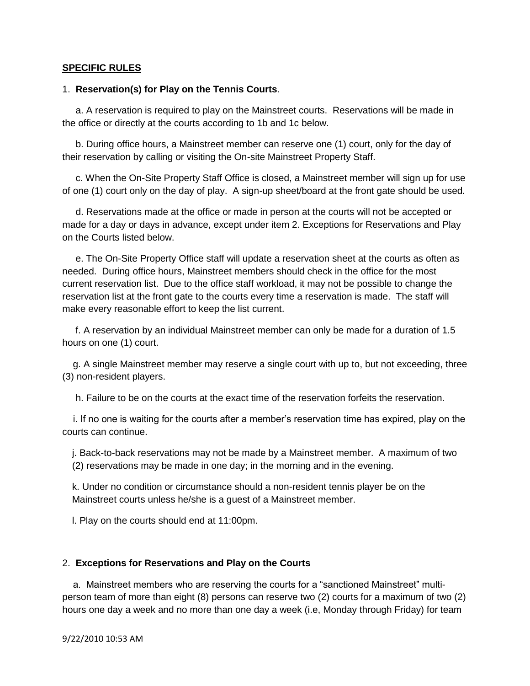### **SPECIFIC RULES**

#### 1. **Reservation(s) for Play on the Tennis Courts**.

 a. A reservation is required to play on the Mainstreet courts. Reservations will be made in the office or directly at the courts according to 1b and 1c below.

 b. During office hours, a Mainstreet member can reserve one (1) court, only for the day of their reservation by calling or visiting the On-site Mainstreet Property Staff.

 c. When the On-Site Property Staff Office is closed, a Mainstreet member will sign up for use of one (1) court only on the day of play. A sign-up sheet/board at the front gate should be used.

 d. Reservations made at the office or made in person at the courts will not be accepted or made for a day or days in advance, except under item 2. Exceptions for Reservations and Play on the Courts listed below.

 e. The On-Site Property Office staff will update a reservation sheet at the courts as often as needed. During office hours, Mainstreet members should check in the office for the most current reservation list. Due to the office staff workload, it may not be possible to change the reservation list at the front gate to the courts every time a reservation is made. The staff will make every reasonable effort to keep the list current.

 f. A reservation by an individual Mainstreet member can only be made for a duration of 1.5 hours on one (1) court.

 g. A single Mainstreet member may reserve a single court with up to, but not exceeding, three (3) non-resident players.

h. Failure to be on the courts at the exact time of the reservation forfeits the reservation.

 i. If no one is waiting for the courts after a member's reservation time has expired, play on the courts can continue.

j. Back-to-back reservations may not be made by a Mainstreet member. A maximum of two (2) reservations may be made in one day; in the morning and in the evening.

k. Under no condition or circumstance should a non-resident tennis player be on the Mainstreet courts unless he/she is a guest of a Mainstreet member.

l. Play on the courts should end at 11:00pm.

#### 2. **Exceptions for Reservations and Play on the Courts**

 a. Mainstreet members who are reserving the courts for a "sanctioned Mainstreet" multiperson team of more than eight (8) persons can reserve two (2) courts for a maximum of two (2) hours one day a week and no more than one day a week (i.e, Monday through Friday) for team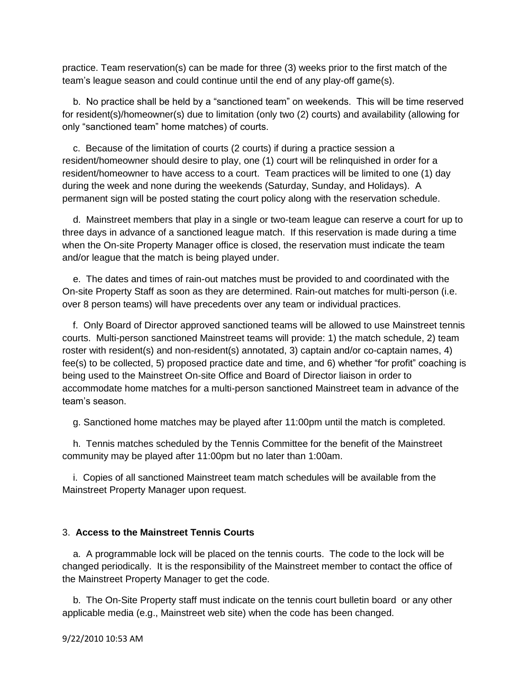practice. Team reservation(s) can be made for three (3) weeks prior to the first match of the team's league season and could continue until the end of any play-off game(s).

 b. No practice shall be held by a "sanctioned team" on weekends. This will be time reserved for resident(s)/homeowner(s) due to limitation (only two (2) courts) and availability (allowing for only "sanctioned team" home matches) of courts.

 c. Because of the limitation of courts (2 courts) if during a practice session a resident/homeowner should desire to play, one (1) court will be relinquished in order for a resident/homeowner to have access to a court. Team practices will be limited to one (1) day during the week and none during the weekends (Saturday, Sunday, and Holidays). A permanent sign will be posted stating the court policy along with the reservation schedule.

 d. Mainstreet members that play in a single or two-team league can reserve a court for up to three days in advance of a sanctioned league match. If this reservation is made during a time when the On-site Property Manager office is closed, the reservation must indicate the team and/or league that the match is being played under.

 e. The dates and times of rain-out matches must be provided to and coordinated with the On-site Property Staff as soon as they are determined. Rain-out matches for multi-person (i.e. over 8 person teams) will have precedents over any team or individual practices.

 f. Only Board of Director approved sanctioned teams will be allowed to use Mainstreet tennis courts. Multi-person sanctioned Mainstreet teams will provide: 1) the match schedule, 2) team roster with resident(s) and non-resident(s) annotated, 3) captain and/or co-captain names, 4) fee(s) to be collected, 5) proposed practice date and time, and 6) whether "for profit" coaching is being used to the Mainstreet On-site Office and Board of Director liaison in order to accommodate home matches for a multi-person sanctioned Mainstreet team in advance of the team's season.

g. Sanctioned home matches may be played after 11:00pm until the match is completed.

 h. Tennis matches scheduled by the Tennis Committee for the benefit of the Mainstreet community may be played after 11:00pm but no later than 1:00am.

 i. Copies of all sanctioned Mainstreet team match schedules will be available from the Mainstreet Property Manager upon request.

### 3. **Access to the Mainstreet Tennis Courts**

 a. A programmable lock will be placed on the tennis courts. The code to the lock will be changed periodically. It is the responsibility of the Mainstreet member to contact the office of the Mainstreet Property Manager to get the code.

 b. The On-Site Property staff must indicate on the tennis court bulletin board or any other applicable media (e.g., Mainstreet web site) when the code has been changed.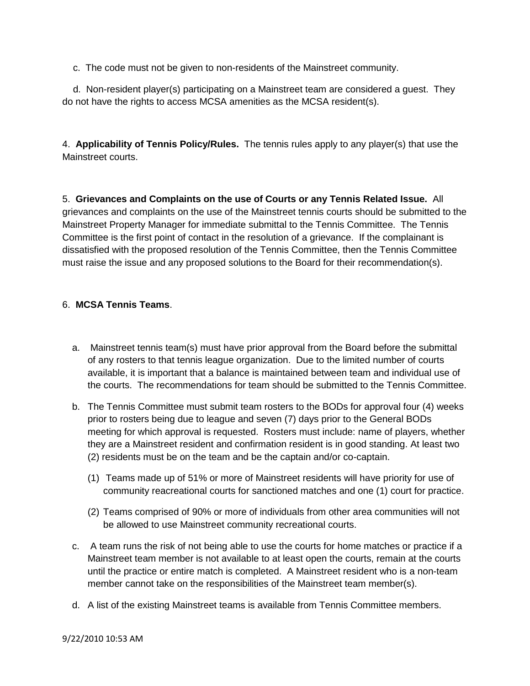c. The code must not be given to non-residents of the Mainstreet community.

 d. Non-resident player(s) participating on a Mainstreet team are considered a guest. They do not have the rights to access MCSA amenities as the MCSA resident(s).

4. **Applicability of Tennis Policy/Rules.** The tennis rules apply to any player(s) that use the Mainstreet courts.

5. **Grievances and Complaints on the use of Courts or any Tennis Related Issue.** All grievances and complaints on the use of the Mainstreet tennis courts should be submitted to the Mainstreet Property Manager for immediate submittal to the Tennis Committee. The Tennis Committee is the first point of contact in the resolution of a grievance. If the complainant is dissatisfied with the proposed resolution of the Tennis Committee, then the Tennis Committee must raise the issue and any proposed solutions to the Board for their recommendation(s).

# 6. **MCSA Tennis Teams**.

- a. Mainstreet tennis team(s) must have prior approval from the Board before the submittal of any rosters to that tennis league organization. Due to the limited number of courts available, it is important that a balance is maintained between team and individual use of the courts. The recommendations for team should be submitted to the Tennis Committee.
- b. The Tennis Committee must submit team rosters to the BODs for approval four (4) weeks prior to rosters being due to league and seven (7) days prior to the General BODs meeting for which approval is requested. Rosters must include: name of players, whether they are a Mainstreet resident and confirmation resident is in good standing. At least two (2) residents must be on the team and be the captain and/or co-captain.
	- (1) Teams made up of 51% or more of Mainstreet residents will have priority for use of community reacreational courts for sanctioned matches and one (1) court for practice.
	- (2) Teams comprised of 90% or more of individuals from other area communities will not be allowed to use Mainstreet community recreational courts.
- c. A team runs the risk of not being able to use the courts for home matches or practice if a Mainstreet team member is not available to at least open the courts, remain at the courts until the practice or entire match is completed. A Mainstreet resident who is a non-team member cannot take on the responsibilities of the Mainstreet team member(s).
- d. A list of the existing Mainstreet teams is available from Tennis Committee members.